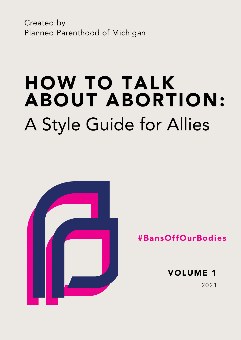Created by Planned Parenthood of Michigan

# A Style Guide for Allies HOW TO TALK ABOUT ABORTION:



#BansOffOurBodies

VOLUME 1 2021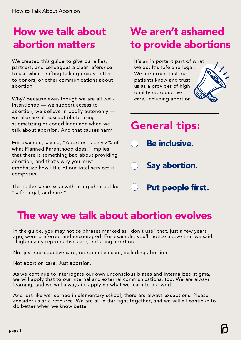### How we talk about abortion matters

We created this guide to give our allies, partners, and colleagues a clear reference to use when drafting talking points, letters to donors, or other communications about abortion.

Why? Because even though we are all wellintentioned — we support access to abortion, we believe in bodily autonomy we also are all susceptible to using stigmatizing or coded language when we talk about abortion. And that causes harm.

For example, saying, "Abortion is only 3% of what Planned Parenthood does," implies that there is something bad about providing abortion, and that's why you must emphasize how little of our total services it comprises.

This is the same issue with using phrases like "safe, legal, and rare."

## We aren't ashamed to provide abortions

It's an important part of what we do. It's safe and legal. We are proud that our patients know and trust us as a provider of high quality reproductive care, including abortion.



# General tips:

- Be inclusive.
- Say abortion.
	- Put people first.

### The way we talk about abortion evolves

In the guide, you may notice phrases marked as "don't use" that, just a few years ago, were preferred and encouraged. For example, you'll notice above that we said "high quality reproductive care, including abortion."

Not just reproductive care; reproductive care, including abortion.

Not abortion care. Just abortion.

As we continue to interrogate our own unconscious biases and internalized stigma, we will apply that to our internal and external communications, too. We are always learning, and we will always be applying what we learn to our work.

And just like we learned in elementary school, there are always exceptions. Please consider us as a resource. We are all in this fight together, and we will all continue to do better when we know better.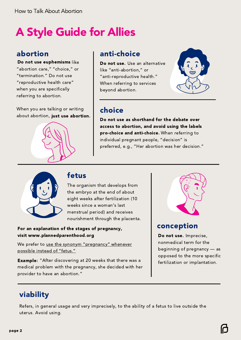# A Style Guide for Allies

### abortion

Do not use euphemisms like Do not use euphemisms "abortion care," "choice," or "termination." Do not use "reproductive health care" when you are specifically referring to abortion.

When you are talking or writing about abortion, just use abortion.

### anti-choice

Do not use. Use an alternative like "anti-abortion," or "anti-reproductive health." When referring to services beyond abortion.



### choice

Do not use as shorthand for the debate over Donot use as shorthand for the debate over access to abortion, and avoid using the labels access to abortion, and avoid using the labels pro-choice and anti-choice. When referring to individual pregnant people, "decision" is preferred, e.g., "Her abortion was her decision."



### fetus

The organism that develops from the embryo at the end of about eight weeks after fertilization (10 weeks since a woman's last menstrual period) and receives nourishment through the placenta.

#### For an explanation of the stages of pregnancy, visit www.plannedparenthood.org

We prefer to use the synonym "pregnancy" whenever possible instead of "fetus."

**Example:** "After discovering at 20 weeks that there was a medical problem with the pregnancy, she decided with her provider to have an abortion."



### conception

Do not use. Imprecise, nonmedical term for the beginning of pregnancy — as opposed to the more specific fertilization or implantation.

### viability

Refers, in general usage and very imprecisely, to the ability of a fetus to live outside the uterus. Avoid using.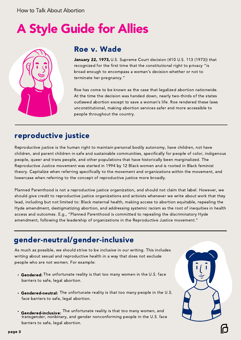# A Style Guide for Allies



### Roe v. Wade

January 22, 1973, U.S. Supreme Court decision (410 U.S. 113 (1973)) that recognized for the first time that the constitutional right to privacy "is broad enough to encompass a woman's decision whether or not to terminate her pregnancy."

Roe has come to be known as the case that legalized abortion nationwide. At the time the decision was handed down, nearly two-thirds of the states outlawed abortion except to save a woman's life. Roe rendered these laws unconstitutional, making abortion services safer and more accessible to people throughout the country.

### reproductive justice

Reproductive justice is the human right to maintain personal bodily autonomy, have children, not have children, and parent children in safe and sustainable communities, specifically for people of color, indigenous people, queer and trans people, and other populations that have historically been marginalized. The Reproductive Justice movement was started in 1994 by 12 Black women and is rooted in Black feminist theory. Capitalize when referring specifically to the movement and organizations within the movement, and lowercase when referring to the concept of reproductive justice more broadly.

Planned Parenthood is not a reproductive justice organization, and should not claim that label. However, we should give credit to reproductive justice organizations and activists whenever we write about work that they lead, including but not limited to: Black maternal health, making access to abortion equitable, repealing the Hyde amendment, destigmatizing abortion, and addressing systemic racism as the root of inequities in health access and outcomes. E.g., "Planned Parenthood is committed to repealing the discriminatory Hyde amendment, following the leadership of organizations in the Reproductive Justice movement."

### gender-neutral/gender-inclusive

As much as possible, we should strive to be inclusive in our writing. This includes writing about sexual and reproductive health in a way that does not exclude people who are not women. For example:

- Gendered: The unfortunate reality is that too many women in the U.S. face barriers to safe, legal abortion.
- Gendered-neutral: The unfortunate reality is that too many people in the U.S. face barriers to safe, legal abortion.
- Gendered-inclusive: The unfortunate reality is that too many women, and transgender, nonbinary, and gender nonconforming people in the U.S. face barriers to safe, legal abortion.